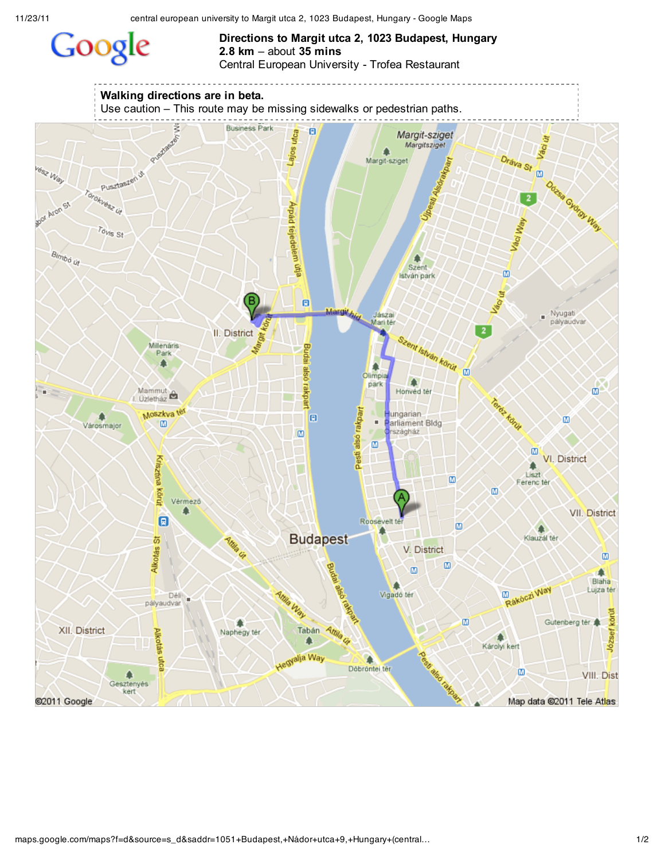## Google

## **Directions to Margit utca 2, 1023 Budapest, Hungary 2.8 km** – about **35 mins** Central European University - Trofea Restaurant